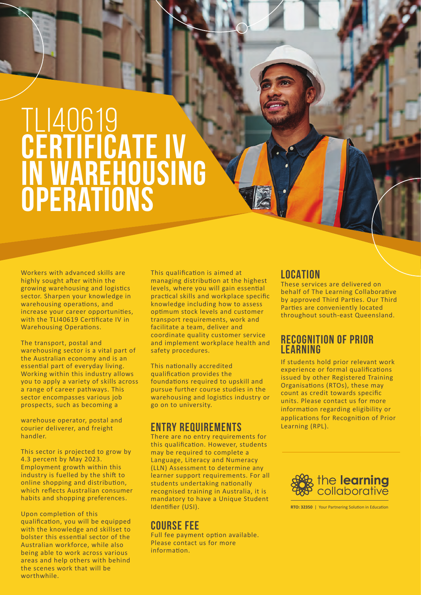# TLI40619 **CERTIFICATE IV in warehousing operations**

Workers with advanced skills are highly sought after within the growing warehousing and logistics sector. Sharpen your knowledge in warehousing operations, and increase your career opportunities, with the TLI40619 Certificate IV in Warehousing Operations.

The transport, postal and warehousing sector is a vital part of the Australian economy and is an essential part of everyday living. Working within this industry allows you to apply a variety of skills across a range of career pathways. This sector encompasses various job prospects, such as becoming a

warehouse operator, postal and courier deliverer, and freight handler.

This sector is projected to grow by 4.3 percent by May 2023. Employment growth within this industry is fuelled by the shift to online shopping and distribution, which reflects Australian consumer habits and shopping preferences.

Upon completion of this qualification, you will be equipped with the knowledge and skillset to bolster this essential sector of the Australian workforce, while also being able to work across various areas and help others with behind the scenes work that will be worthwhile.

This qualification is aimed at managing distribution at the highest levels, where you will gain essential practical skills and workplace specific knowledge including how to assess optimum stock levels and customer transport requirements, work and facilitate a team, deliver and coordinate quality customer service and implement workplace health and safety procedures.

This nationally accredited qualification provides the foundations required to upskill and pursue further course studies in the warehousing and logistics industry or go on to university.

## **ENTRY REQUIREMENTS**

There are no entry requirements for this qualification. However, students may be required to complete a Language, Literacy and Numeracy (LLN) Assessment to determine any learner support requirements. For all students undertaking nationally recognised training in Australia, it is mandatory to have a Unique Student Identifier (USI).

## **COURSE FEE**

Full fee payment option available. Please contact us for more information.

# **LOCATION**

These services are delivered on behalf of The Learning Collaborative by approved Third Parties. Our Third Parties are conveniently located throughout south-east Queensland.

### **RECOGNITION OF PRIOR LEARNING**

If students hold prior relevant work experience or formal qualifications issued by other Registered Training Organisations (RTOs), these may count as credit towards specific units. Please contact us for more information regarding eligibility or applications for Recognition of Prior Learning (RPL).



**RTO: 32350** | Your Partnering Solution in Education